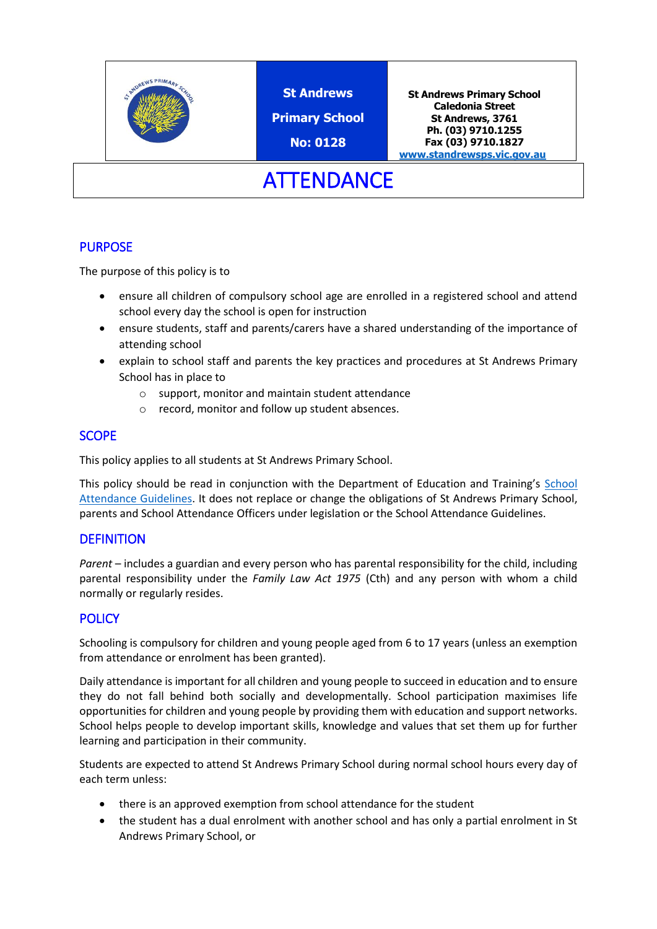

**St Andrews**

**Primary School**

**No: 0128**

**St Andrews Primary School Caledonia Street St Andrews, 3761 Ph. (03) 9710.1255 Fax (03) 9710.1827 [www.standrewsps.vic.gov.au](http://www.standrewsps.vic.gov.au/)**

**ATTENDANCE** 

# **PURPOSE**

The purpose of this policy is to

- ensure all children of compulsory school age are enrolled in a registered school and attend school every day the school is open for instruction
- ensure students, staff and parents/carers have a shared understanding of the importance of attending school
- explain to school staff and parents the key practices and procedures at St Andrews Primary School has in place to
	- o support, monitor and maintain student attendance
	- o record, monitor and follow up student absences.

# **SCOPE**

This policy applies to all students at St Andrews Primary School.

This policy should be read in conjunction with the Department of Education and Training's [School](http://www.education.vic.gov.au/school/teachers/studentmanagement/Pages/attendance.aspx)  [Attendance Guidelines.](http://www.education.vic.gov.au/school/teachers/studentmanagement/Pages/attendance.aspx) It does not replace or change the obligations of St Andrews Primary School, parents and School Attendance Officers under legislation or the School Attendance Guidelines.

## **DEFINITION**

*Parent* – includes a guardian and every person who has parental responsibility for the child, including parental responsibility under the *Family Law Act 1975* (Cth) and any person with whom a child normally or regularly resides.

# **POLICY**

Schooling is compulsory for children and young people aged from 6 to 17 years (unless an exemption from attendance or enrolment has been granted).

Daily attendance is important for all children and young people to succeed in education and to ensure they do not fall behind both socially and developmentally. School participation maximises life opportunities for children and young people by providing them with education and support networks. School helps people to develop important skills, knowledge and values that set them up for further learning and participation in their community.

Students are expected to attend St Andrews Primary School during normal school hours every day of each term unless:

- there is an approved exemption from school attendance for the student
- the student has a dual enrolment with another school and has only a partial enrolment in St Andrews Primary School, or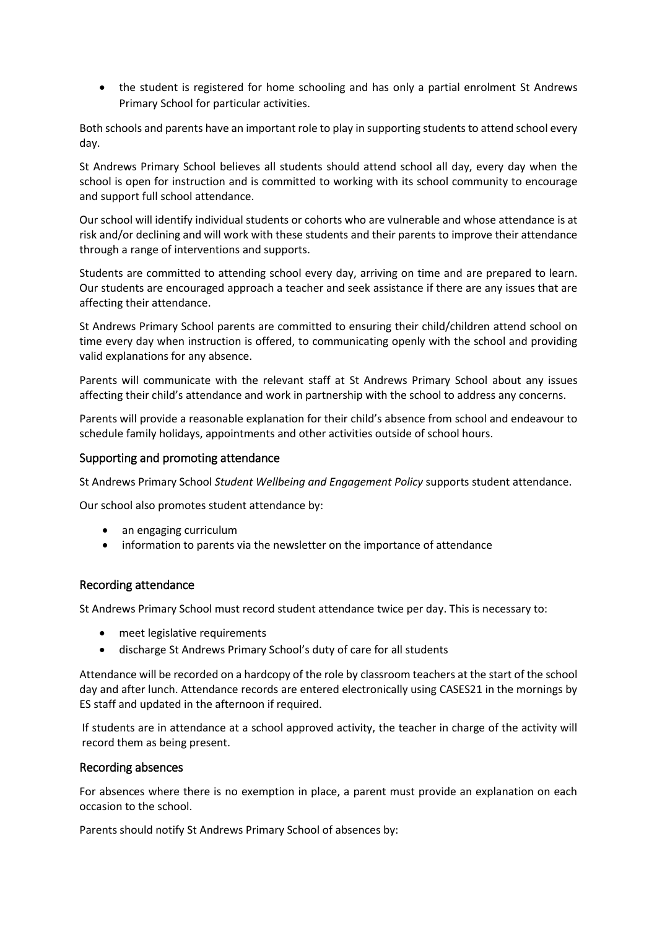• the student is registered for home schooling and has only a partial enrolment St Andrews Primary School for particular activities.

Both schools and parents have an important role to play in supporting students to attend school every day.

St Andrews Primary School believes all students should attend school all day, every day when the school is open for instruction and is committed to working with its school community to encourage and support full school attendance.

Our school will identify individual students or cohorts who are vulnerable and whose attendance is at risk and/or declining and will work with these students and their parents to improve their attendance through a range of interventions and supports.

Students are committed to attending school every day, arriving on time and are prepared to learn. Our students are encouraged approach a teacher and seek assistance if there are any issues that are affecting their attendance.

St Andrews Primary School parents are committed to ensuring their child/children attend school on time every day when instruction is offered, to communicating openly with the school and providing valid explanations for any absence.

Parents will communicate with the relevant staff at St Andrews Primary School about any issues affecting their child's attendance and work in partnership with the school to address any concerns.

Parents will provide a reasonable explanation for their child's absence from school and endeavour to schedule family holidays, appointments and other activities outside of school hours.

### Supporting and promoting attendance

St Andrews Primary School *Student Wellbeing and Engagement Policy* supports student attendance.

Our school also promotes student attendance by:

- an engaging curriculum
- information to parents via the newsletter on the importance of attendance

#### Recording attendance

St Andrews Primary School must record student attendance twice per day. This is necessary to:

- meet legislative requirements
- discharge St Andrews Primary School's duty of care for all students

Attendance will be recorded on a hardcopy of the role by classroom teachers at the start of the school day and after lunch. Attendance records are entered electronically using CASES21 in the mornings by ES staff and updated in the afternoon if required.

If students are in attendance at a school approved activity, the teacher in charge of the activity will record them as being present.

#### Recording absences

For absences where there is no exemption in place, a parent must provide an explanation on each occasion to the school.

Parents should notify St Andrews Primary School of absences by: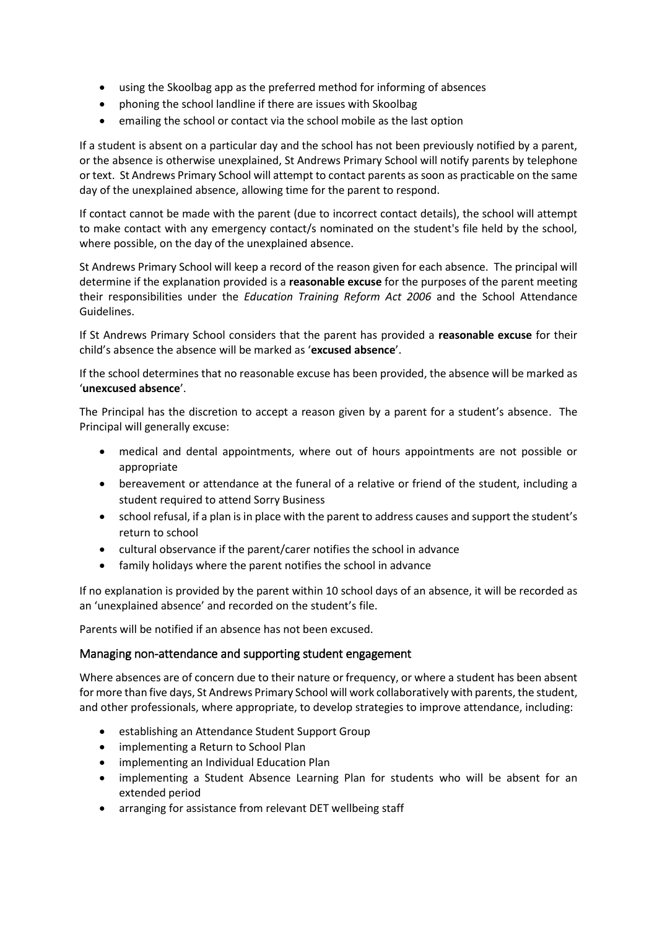- using the Skoolbag app as the preferred method for informing of absences
- phoning the school landline if there are issues with Skoolbag
- emailing the school or contact via the school mobile as the last option

If a student is absent on a particular day and the school has not been previously notified by a parent, or the absence is otherwise unexplained, St Andrews Primary School will notify parents by telephone or text. St Andrews Primary School will attempt to contact parents as soon as practicable on the same day of the unexplained absence, allowing time for the parent to respond.

If contact cannot be made with the parent (due to incorrect contact details), the school will attempt to make contact with any emergency contact/s nominated on the student's file held by the school, where possible, on the day of the unexplained absence.

St Andrews Primary School will keep a record of the reason given for each absence. The principal will determine if the explanation provided is a **reasonable excuse** for the purposes of the parent meeting their responsibilities under the *Education Training Reform Act 2006* and the School Attendance Guidelines.

If St Andrews Primary School considers that the parent has provided a **reasonable excuse** for their child's absence the absence will be marked as '**excused absence**'.

If the school determines that no reasonable excuse has been provided, the absence will be marked as '**unexcused absence**'.

The Principal has the discretion to accept a reason given by a parent for a student's absence. The Principal will generally excuse:

- medical and dental appointments, where out of hours appointments are not possible or appropriate
- bereavement or attendance at the funeral of a relative or friend of the student, including a student required to attend Sorry Business
- school refusal, if a plan is in place with the parent to address causes and support the student's return to school
- cultural observance if the parent/carer notifies the school in advance
- family holidays where the parent notifies the school in advance

If no explanation is provided by the parent within 10 school days of an absence, it will be recorded as an 'unexplained absence' and recorded on the student's file.

Parents will be notified if an absence has not been excused.

### Managing non-attendance and supporting student engagement

Where absences are of concern due to their nature or frequency, or where a student has been absent for more than five days, St Andrews Primary School will work collaboratively with parents, the student, and other professionals, where appropriate, to develop strategies to improve attendance, including:

- establishing an Attendance Student Support Group
- implementing a Return to School Plan
- implementing an Individual Education Plan
- implementing a Student Absence Learning Plan for students who will be absent for an extended period
- arranging for assistance from relevant DET wellbeing staff